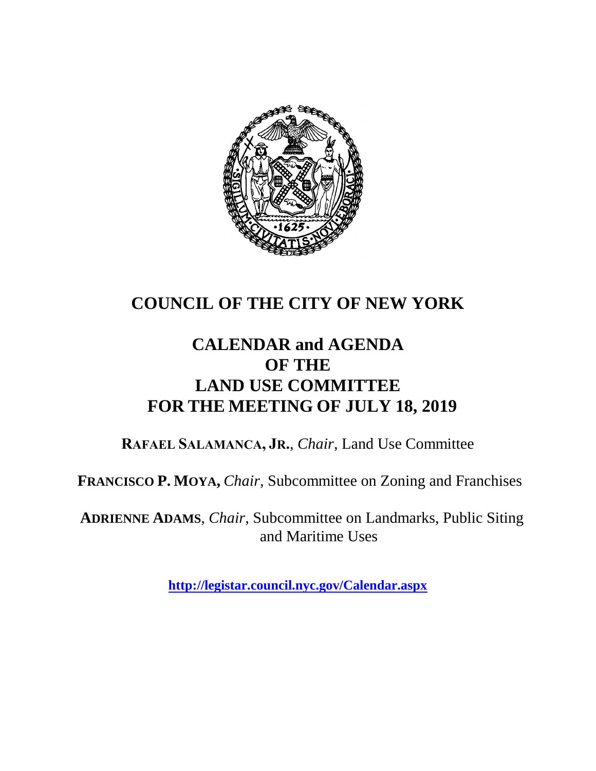

## **COUNCIL OF THE CITY OF NEW YORK**

## **CALENDAR and AGENDA OF THE LAND USE COMMITTEE FOR THE MEETING OF JULY 18, 2019**

**RAFAEL SALAMANCA, JR.**, *Chair*, Land Use Committee

**FRANCISCO P. MOYA,** *Chair,* Subcommittee on Zoning and Franchises

**ADRIENNE ADAMS**, *Chair*, Subcommittee on Landmarks, Public Siting and Maritime Uses

**<http://legistar.council.nyc.gov/Calendar.aspx>**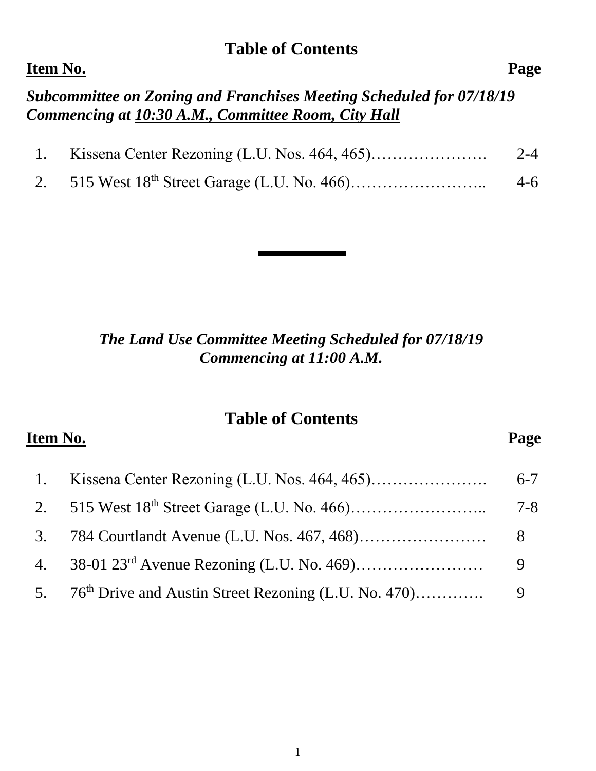#### **Table of Contents**

#### **Item No. Page**

*Subcommittee on Zoning and Franchises Meeting Scheduled for 07/18/19 Commencing at 10:30 A.M., Committee Room, City Hall*

| 1. Kissena Center Rezoning (L.U. Nos. 464, 465) | $2 - 4$ |
|-------------------------------------------------|---------|
|                                                 | $4-6$   |

#### *The Land Use Committee Meeting Scheduled for 07/18/19 Commencing at 11:00 A.M.*

#### **Table of Contents**

**Item No. Page** 

# 1. Kissena Center Rezoning (L.U. Nos. 464, 465)…………………. 6-7 2. 515 West 18th Street Garage (L.U. No. 466)…………………….. 7-8 3. 784 Courtlandt Avenue (L.U. Nos. 467, 468)…………………… 8 4. 38-01 23rd Avenue Rezoning (L.U. No. 469)…………………… 9 5. 76th Drive and Austin Street Rezoning (L.U. No. 470)…………. 9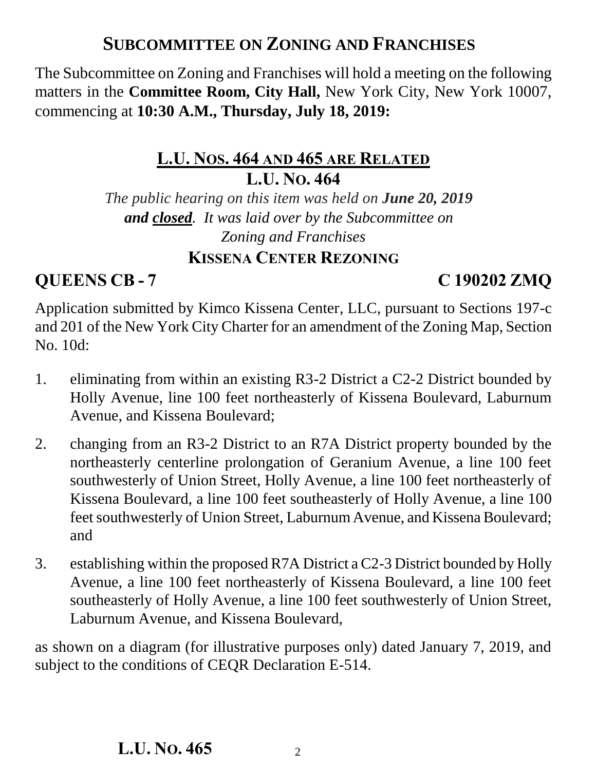## **SUBCOMMITTEE ON ZONING AND FRANCHISES**

The Subcommittee on Zoning and Franchises will hold a meeting on the following matters in the **Committee Room, City Hall,** New York City, New York 10007, commencing at **10:30 A.M., Thursday, July 18, 2019:**

### **L.U. NOS. 464 AND 465 ARE RELATED L.U. NO. 464**

*The public hearing on this item was held on June 20, 2019 and closed. It was laid over by the Subcommittee on Zoning and Franchises*

#### **KISSENA CENTER REZONING**

### **QUEENS CB - 7 C 190202 ZMQ**

Application submitted by Kimco Kissena Center, LLC, pursuant to Sections 197-c and 201 of the New York City Charter for an amendment of the Zoning Map, Section No. 10d:

- 1. eliminating from within an existing R3-2 District a C2-2 District bounded by Holly Avenue, line 100 feet northeasterly of Kissena Boulevard, Laburnum Avenue, and Kissena Boulevard;
- 2. changing from an R3-2 District to an R7A District property bounded by the northeasterly centerline prolongation of Geranium Avenue, a line 100 feet southwesterly of Union Street, Holly Avenue, a line 100 feet northeasterly of Kissena Boulevard, a line 100 feet southeasterly of Holly Avenue, a line 100 feet southwesterly of Union Street, Laburnum Avenue, and Kissena Boulevard; and
- 3. establishing within the proposed R7A District a C2-3 District bounded by Holly Avenue, a line 100 feet northeasterly of Kissena Boulevard, a line 100 feet southeasterly of Holly Avenue, a line 100 feet southwesterly of Union Street, Laburnum Avenue, and Kissena Boulevard,

as shown on a diagram (for illustrative purposes only) dated January 7, 2019, and subject to the conditions of CEQR Declaration E-514.

#### **L.U. NO. 465**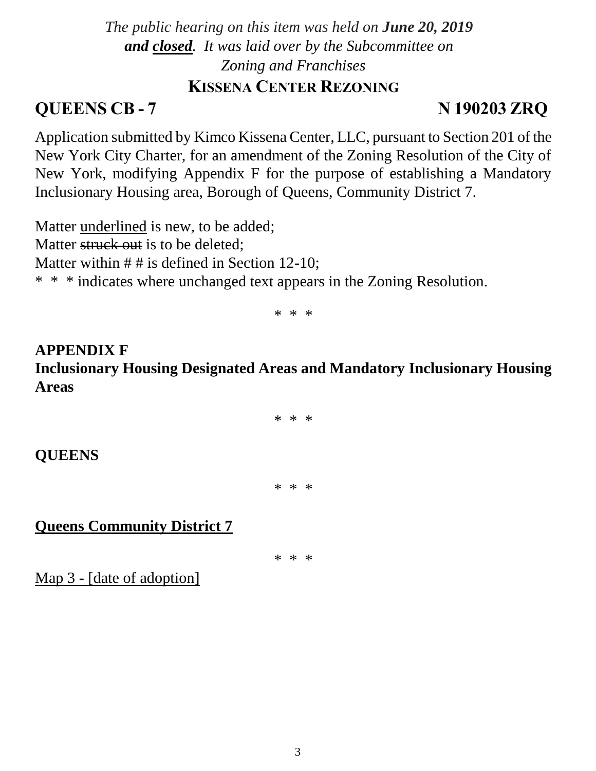#### *The public hearing on this item was held on June 20, 2019 and closed. It was laid over by the Subcommittee on Zoning and Franchises* **KISSENA CENTER REZONING**

## **QUEENS CB - 7 N 190203 ZRQ**

Application submitted by Kimco Kissena Center, LLC, pursuant to Section 201 of the New York City Charter, for an amendment of the Zoning Resolution of the City of New York, modifying Appendix F for the purpose of establishing a Mandatory Inclusionary Housing area, Borough of Queens, Community District 7.

Matter underlined is new, to be added; Matter struck out is to be deleted: Matter within  $# #$  is defined in Section 12-10; \* \* \* indicates where unchanged text appears in the Zoning Resolution.

\* \* \*

**APPENDIX F Inclusionary Housing Designated Areas and Mandatory Inclusionary Housing Areas**

\* \* \*

**QUEENS**

\* \* \*

**Queens Community District 7**

\* \* \*

Map 3 - [date of adoption]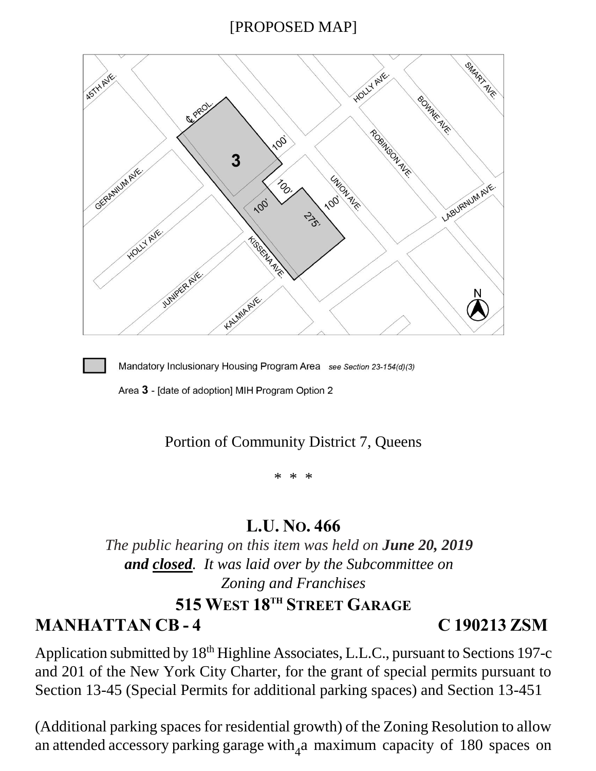#### [PROPOSED MAP]





Mandatory Inclusionary Housing Program Area see Section 23-154(d)(3)

Area 3 - [date of adoption] MIH Program Option 2

#### Portion of Community District 7, Queens

 $\star$ 

#### **L.U. NO. 466**

*The public hearing on this item was held on June 20, 2019 and closed. It was laid over by the Subcommittee on Zoning and Franchises* **515 WEST 18TH STREET GARAGE**

**MANHATTAN CB - 4 C 190213 ZSM**

Application submitted by 18<sup>th</sup> Highline Associates, L.L.C., pursuant to Sections 197-c and 201 of the New York City Charter, for the grant of special permits pursuant to Section 13-45 (Special Permits for additional parking spaces) and Section 13-451

an attended accessory parking garage with<sub>4</sub>a maximum capacity of 180 spaces on (Additional parking spaces for residential growth) of the Zoning Resolution to allow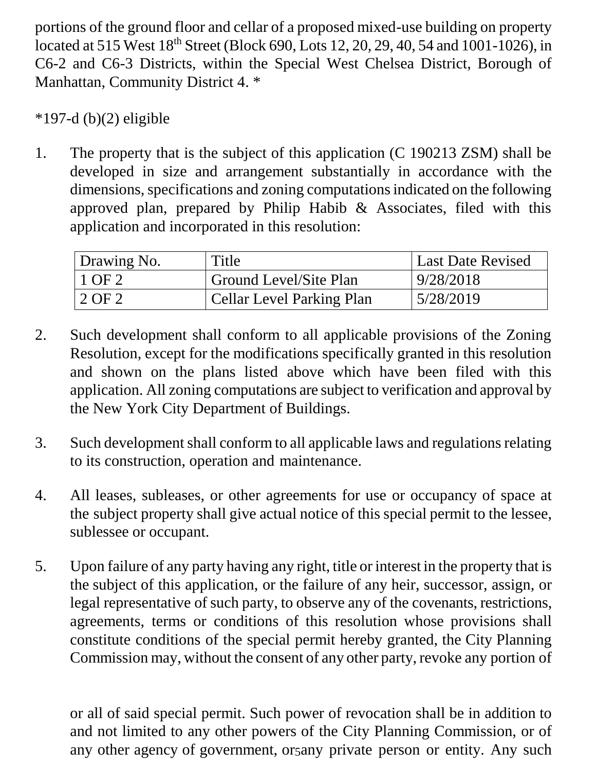portions of the ground floor and cellar of a proposed mixed-use building on property located at 515 West 18<sup>th</sup> Street (Block 690, Lots 12, 20, 29, 40, 54 and 1001-1026), in C6-2 and C6-3 Districts, within the Special West Chelsea District, Borough of Manhattan, Community District 4. \*

 $*197-d (b)(2)$  eligible

1. The property that is the subject of this application (C 190213 ZSM) shall be developed in size and arrangement substantially in accordance with the dimensions, specifications and zoning computations indicated on the following approved plan, prepared by Philip Habib & Associates, filed with this application and incorporated in this resolution:

| Drawing No. | Title                     | <b>Last Date Revised</b> |
|-------------|---------------------------|--------------------------|
| $1$ OF 2    | Ground Level/Site Plan    | 9/28/2018                |
| $'2$ OF 2   | Cellar Level Parking Plan | 5/28/2019                |

- 2. Such development shall conform to all applicable provisions of the Zoning Resolution, except for the modifications specifically granted in this resolution and shown on the plans listed above which have been filed with this application. All zoning computations are subject to verification and approval by the New York City Department of Buildings.
- 3. Such development shall conform to all applicable laws and regulations relating to its construction, operation and maintenance.
- 4. All leases, subleases, or other agreements for use or occupancy of space at the subject property shall give actual notice of this special permit to the lessee, sublessee or occupant.
- 5. Upon failure of any party having any right, title or interest in the property that is the subject of this application, or the failure of any heir, successor, assign, or legal representative of such party, to observe any of the covenants, restrictions, agreements, terms or conditions of this resolution whose provisions shall constitute conditions of the special permit hereby granted, the City Planning Commission may, without the consent of any other party, revoke any portion of

any other agency of government, or any private person or entity. Any such or all of said special permit. Such power of revocation shall be in addition to and not limited to any other powers of the City Planning Commission, or of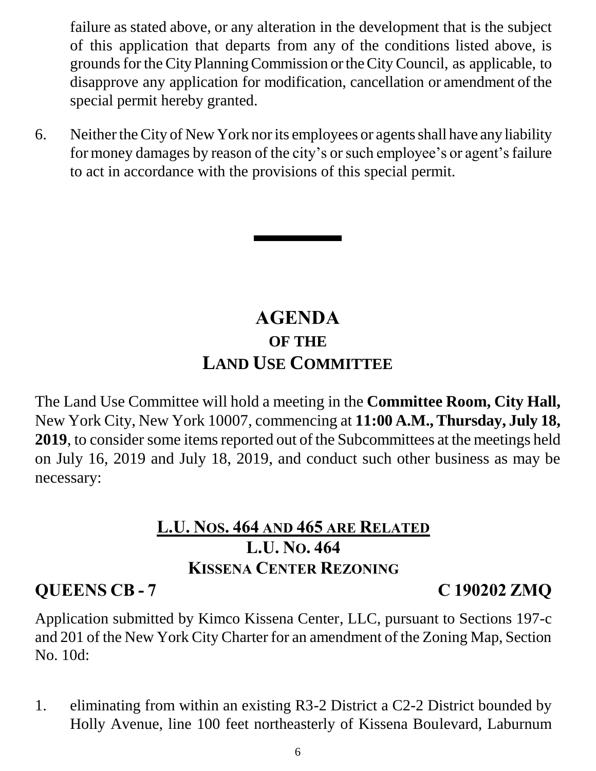failure as stated above, or any alteration in the development that is the subject of this application that departs from any of the conditions listed above, is grounds for the City Planning Commission or the City Council, as applicable, to disapprove any application for modification, cancellation or amendment of the special permit hereby granted.

6. Neither the City of New York nor its employees or agents shall have any liability for money damages by reason of the city's or such employee's or agent's failure to act in accordance with the provisions of this special permit.

## **AGENDA OF THE LAND USE COMMITTEE**

The Land Use Committee will hold a meeting in the **Committee Room, City Hall,**  New York City, New York 10007, commencing at **11:00 A.M., Thursday, July 18, 2019**, to consider some items reported out of the Subcommittees at the meetings held on July 16, 2019 and July 18, 2019, and conduct such other business as may be necessary:

## **L.U. NOS. 464 AND 465 ARE RELATED L.U. NO. 464 KISSENA CENTER REZONING**

## **QUEENS CB - 7 C 190202 ZMQ**

Application submitted by Kimco Kissena Center, LLC, pursuant to Sections 197-c and 201 of the New York City Charter for an amendment of the Zoning Map, Section No. 10d:

1. eliminating from within an existing R3-2 District a C2-2 District bounded by Holly Avenue, line 100 feet northeasterly of Kissena Boulevard, Laburnum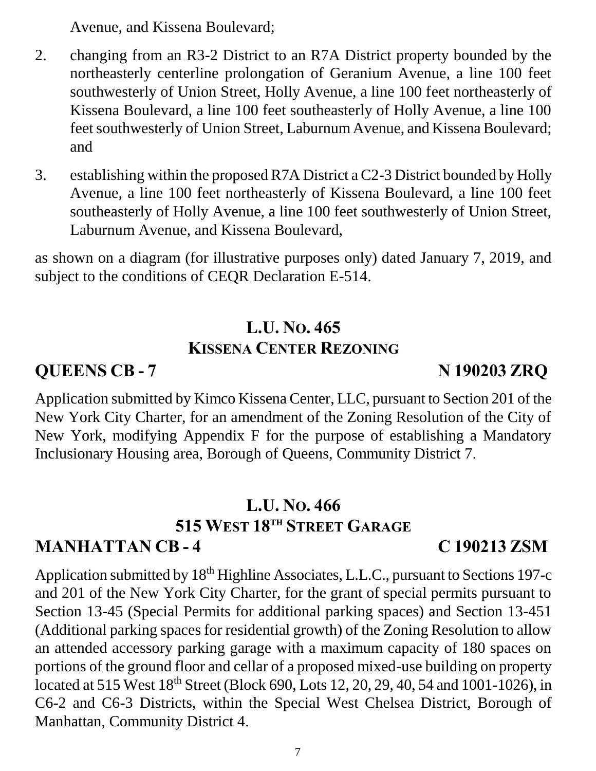Avenue, and Kissena Boulevard;

- 2. changing from an R3-2 District to an R7A District property bounded by the northeasterly centerline prolongation of Geranium Avenue, a line 100 feet southwesterly of Union Street, Holly Avenue, a line 100 feet northeasterly of Kissena Boulevard, a line 100 feet southeasterly of Holly Avenue, a line 100 feet southwesterly of Union Street, Laburnum Avenue, and Kissena Boulevard; and
- 3. establishing within the proposed R7A District a C2-3 District bounded by Holly Avenue, a line 100 feet northeasterly of Kissena Boulevard, a line 100 feet southeasterly of Holly Avenue, a line 100 feet southwesterly of Union Street, Laburnum Avenue, and Kissena Boulevard,

as shown on a diagram (for illustrative purposes only) dated January 7, 2019, and subject to the conditions of CEQR Declaration E-514.

## **L.U. NO. 465 KISSENA CENTER REZONING**

**QUEENS CB - 7 N 190203 ZRQ**

Application submitted by Kimco Kissena Center, LLC, pursuant to Section 201 of the New York City Charter, for an amendment of the Zoning Resolution of the City of New York, modifying Appendix F for the purpose of establishing a Mandatory Inclusionary Housing area, Borough of Queens, Community District 7.

#### **L.U. NO. 466 515 WEST 18TH STREET GARAGE MANHATTAN CB - 4 C 190213 ZSM**

Application submitted by 18<sup>th</sup> Highline Associates, L.L.C., pursuant to Sections 197-c and 201 of the New York City Charter, for the grant of special permits pursuant to Section 13-45 (Special Permits for additional parking spaces) and Section 13-451 (Additional parking spaces for residential growth) of the Zoning Resolution to allow an attended accessory parking garage with a maximum capacity of 180 spaces on portions of the ground floor and cellar of a proposed mixed-use building on property located at 515 West 18<sup>th</sup> Street (Block 690, Lots 12, 20, 29, 40, 54 and 1001-1026), in C6-2 and C6-3 Districts, within the Special West Chelsea District, Borough of Manhattan, Community District 4.

#### 7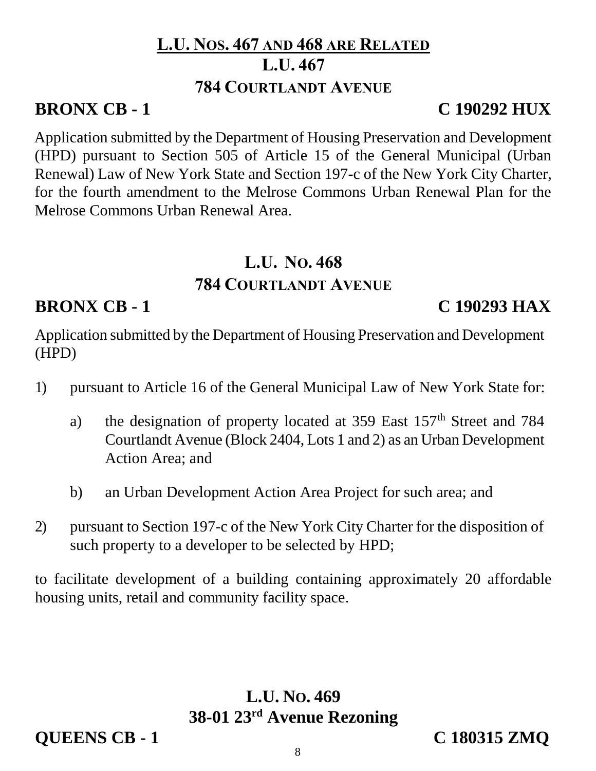### **L.U. NOS. 467 AND 468 ARE RELATED L.U. 467 784 COURTLANDT AVENUE**

## **BRONX CB - 1 C 190292 HUX**

Application submitted by the Department of Housing Preservation and Development (HPD) pursuant to Section 505 of Article 15 of the General Municipal (Urban Renewal) Law of New York State and Section 197-c of the New York City Charter, for the fourth amendment to the Melrose Commons Urban Renewal Plan for the Melrose Commons Urban Renewal Area.

## **L.U. NO. 468**

## **784 COURTLANDT AVENUE**

## **BRONX CB - 1 C 190293 HAX**

Application submitted by the Department of Housing Preservation and Development (HPD)

- 1) pursuant to Article 16 of the General Municipal Law of New York State for:
	- a) the designation of property located at  $359$  East  $157<sup>th</sup>$  Street and 784 Courtlandt Avenue (Block 2404, Lots 1 and 2) as an Urban Development Action Area; and
	- b) an Urban Development Action Area Project for such area; and
- 2) pursuant to Section 197-c of the New York City Charter for the disposition of such property to a developer to be selected by HPD;

to facilitate development of a building containing approximately 20 affordable housing units, retail and community facility space.

## **L.U. NO. 469 38-01 23rd Avenue Rezoning**

**QUEENS CB - 1 C 180315 ZMQ**